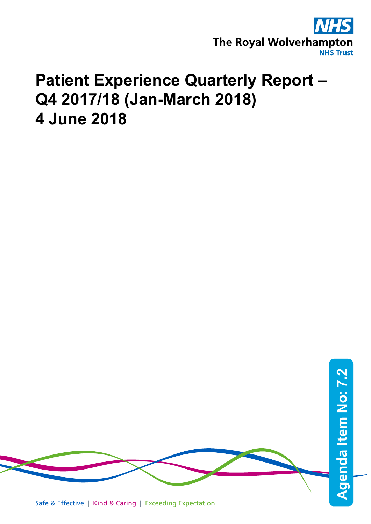

# **Patient Experience Quarterly Report – Q4 2017/18 (Jan-March 2018) 4 June 2018**



Safe & Effective | Kind & Caring | Exceeding Expectation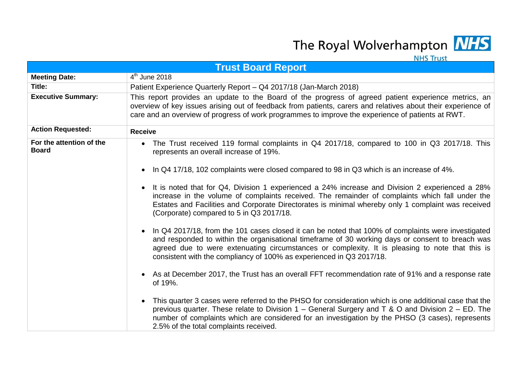The Royal Wolverhampton MHS

|                                          | <b>NHS Trust</b>                                                                                                                                                                                                                                                                                                                                                                  |
|------------------------------------------|-----------------------------------------------------------------------------------------------------------------------------------------------------------------------------------------------------------------------------------------------------------------------------------------------------------------------------------------------------------------------------------|
|                                          | <b>Trust Board Report</b>                                                                                                                                                                                                                                                                                                                                                         |
| <b>Meeting Date:</b>                     | $4th$ June 2018                                                                                                                                                                                                                                                                                                                                                                   |
| Title:                                   | Patient Experience Quarterly Report - Q4 2017/18 (Jan-March 2018)                                                                                                                                                                                                                                                                                                                 |
| <b>Executive Summary:</b>                | This report provides an update to the Board of the progress of agreed patient experience metrics, an<br>overview of key issues arising out of feedback from patients, carers and relatives about their experience of<br>care and an overview of progress of work programmes to improve the experience of patients at RWT.                                                         |
| <b>Action Requested:</b>                 | <b>Receive</b>                                                                                                                                                                                                                                                                                                                                                                    |
| For the attention of the<br><b>Board</b> | • The Trust received 119 formal complaints in Q4 2017/18, compared to 100 in Q3 2017/18. This<br>represents an overall increase of 19%.                                                                                                                                                                                                                                           |
|                                          | In Q4 17/18, 102 complaints were closed compared to 98 in Q3 which is an increase of 4%.                                                                                                                                                                                                                                                                                          |
|                                          | It is noted that for Q4, Division 1 experienced a 24% increase and Division 2 experienced a 28%<br>$\bullet$<br>increase in the volume of complaints received. The remainder of complaints which fall under the<br>Estates and Facilities and Corporate Directorates is minimal whereby only 1 complaint was received<br>(Corporate) compared to 5 in Q3 2017/18.                 |
|                                          | In Q4 2017/18, from the 101 cases closed it can be noted that 100% of complaints were investigated<br>and responded to within the organisational timeframe of 30 working days or consent to breach was<br>agreed due to were extenuating circumstances or complexity. It is pleasing to note that this is<br>consistent with the compliancy of 100% as experienced in Q3 2017/18. |
|                                          | • As at December 2017, the Trust has an overall FFT recommendation rate of 91% and a response rate<br>of 19%.                                                                                                                                                                                                                                                                     |
|                                          | This quarter 3 cases were referred to the PHSO for consideration which is one additional case that the<br>previous quarter. These relate to Division $1$ – General Surgery and T & O and Division $2$ – ED. The<br>number of complaints which are considered for an investigation by the PHSO (3 cases), represents<br>2.5% of the total complaints received.                     |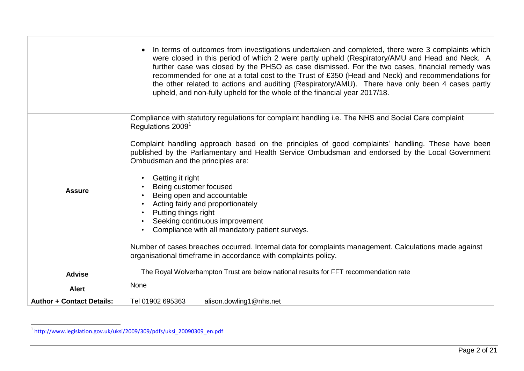|                                  | In terms of outcomes from investigations undertaken and completed, there were 3 complaints which<br>were closed in this period of which 2 were partly upheld (Respiratory/AMU and Head and Neck. A<br>further case was closed by the PHSO as case dismissed. For the two cases, financial remedy was<br>recommended for one at a total cost to the Trust of £350 (Head and Neck) and recommendations for<br>the other related to actions and auditing (Respiratory/AMU). There have only been 4 cases partly<br>upheld, and non-fully upheld for the whole of the financial year 2017/18. |
|----------------------------------|-------------------------------------------------------------------------------------------------------------------------------------------------------------------------------------------------------------------------------------------------------------------------------------------------------------------------------------------------------------------------------------------------------------------------------------------------------------------------------------------------------------------------------------------------------------------------------------------|
|                                  | Compliance with statutory regulations for complaint handling i.e. The NHS and Social Care complaint<br>Regulations 2009 <sup>1</sup>                                                                                                                                                                                                                                                                                                                                                                                                                                                      |
|                                  | Complaint handling approach based on the principles of good complaints' handling. These have been<br>published by the Parliamentary and Health Service Ombudsman and endorsed by the Local Government<br>Ombudsman and the principles are:                                                                                                                                                                                                                                                                                                                                                |
| <b>Assure</b>                    | Getting it right<br>Being customer focused                                                                                                                                                                                                                                                                                                                                                                                                                                                                                                                                                |
|                                  | Being open and accountable<br>Acting fairly and proportionately                                                                                                                                                                                                                                                                                                                                                                                                                                                                                                                           |
|                                  | Putting things right                                                                                                                                                                                                                                                                                                                                                                                                                                                                                                                                                                      |
|                                  | Seeking continuous improvement<br>Compliance with all mandatory patient surveys.                                                                                                                                                                                                                                                                                                                                                                                                                                                                                                          |
|                                  |                                                                                                                                                                                                                                                                                                                                                                                                                                                                                                                                                                                           |
|                                  | Number of cases breaches occurred. Internal data for complaints management. Calculations made against                                                                                                                                                                                                                                                                                                                                                                                                                                                                                     |
|                                  | organisational timeframe in accordance with complaints policy.                                                                                                                                                                                                                                                                                                                                                                                                                                                                                                                            |
| <b>Advise</b>                    | The Royal Wolverhampton Trust are below national results for FFT recommendation rate                                                                                                                                                                                                                                                                                                                                                                                                                                                                                                      |
| <b>Alert</b>                     | None                                                                                                                                                                                                                                                                                                                                                                                                                                                                                                                                                                                      |
| <b>Author + Contact Details:</b> | alison.dowling1@nhs.net<br>Tel 01902 695363                                                                                                                                                                                                                                                                                                                                                                                                                                                                                                                                               |

 1 [http://www.legislation.gov.uk/uksi/2009/309/pdfs/uksi\\_20090309\\_en.pdf](http://www.legislation.gov.uk/uksi/2009/309/pdfs/uksi_20090309_en.pdf)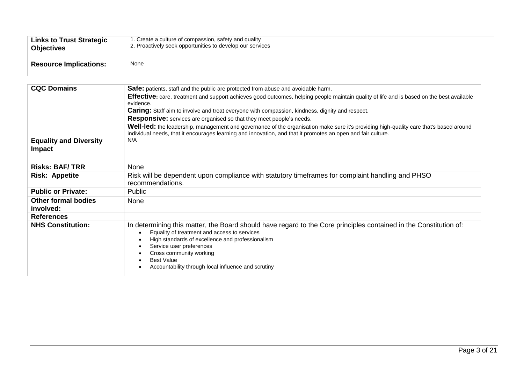| <b>Links to Trust Strategic</b> | 1. Create a culture of compassion, safety and quality     |
|---------------------------------|-----------------------------------------------------------|
| <b>Objectives</b>               | 2. Proactively seek opportunities to develop our services |
| <b>Resource Implications:</b>   | None                                                      |

| Safe: patients, staff and the public are protected from abuse and avoidable harm.                                                                                                                                                                                                                                                                                                                                              |
|--------------------------------------------------------------------------------------------------------------------------------------------------------------------------------------------------------------------------------------------------------------------------------------------------------------------------------------------------------------------------------------------------------------------------------|
|                                                                                                                                                                                                                                                                                                                                                                                                                                |
| Effective: care, treatment and support achieves good outcomes, helping people maintain quality of life and is based on the best available                                                                                                                                                                                                                                                                                      |
| evidence.                                                                                                                                                                                                                                                                                                                                                                                                                      |
| <b>Caring:</b> Staff aim to involve and treat everyone with compassion, kindness, dignity and respect.                                                                                                                                                                                                                                                                                                                         |
| Responsive: services are organised so that they meet people's needs.                                                                                                                                                                                                                                                                                                                                                           |
| Well-led: the leadership, management and governance of the organisation make sure it's providing high-quality care that's based around<br>individual needs, that it encourages learning and innovation, and that it promotes an open and fair culture.                                                                                                                                                                         |
| N/A                                                                                                                                                                                                                                                                                                                                                                                                                            |
| None                                                                                                                                                                                                                                                                                                                                                                                                                           |
| Risk will be dependent upon compliance with statutory timeframes for complaint handling and PHSO<br>recommendations.                                                                                                                                                                                                                                                                                                           |
| <b>Public</b>                                                                                                                                                                                                                                                                                                                                                                                                                  |
| None                                                                                                                                                                                                                                                                                                                                                                                                                           |
|                                                                                                                                                                                                                                                                                                                                                                                                                                |
| In determining this matter, the Board should have regard to the Core principles contained in the Constitution of:<br>Equality of treatment and access to services<br>$\bullet$<br>High standards of excellence and professionalism<br>$\bullet$<br>Service user preferences<br>$\bullet$<br>Cross community working<br>$\bullet$<br><b>Best Value</b><br>$\bullet$<br>Accountability through local influence and scrutiny<br>٠ |
|                                                                                                                                                                                                                                                                                                                                                                                                                                |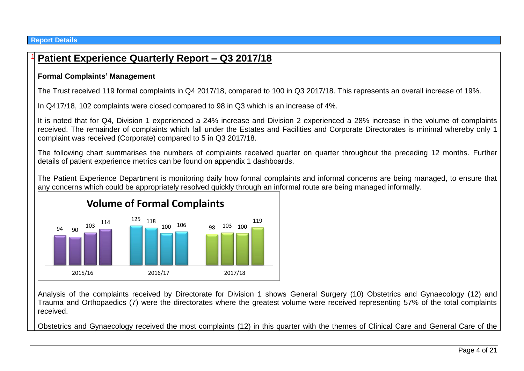#### **Report Details**

## 94 125 118 90  $\frac{103}{2}$  98  $103 \t114$   $125 \t118$   $100 \t106$   $98 \t103 \t100$ 100 106 119 2015/16 2016/17 2017/18 **Volume of Formal Complaints**

## <sup>1</sup> **Patient Experience Quarterly Report – Q3 2017/18**

#### **Formal Complaints' Management**

The Trust received 119 formal complaints in Q4 2017/18, compared to 100 in Q3 2017/18. This represents an overall increase of 19%.

In Q417/18, 102 complaints were closed compared to 98 in Q3 which is an increase of 4%.

It is noted that for Q4, Division 1 experienced a 24% increase and Division 2 experienced a 28% increase in the volume of complaints received. The remainder of complaints which fall under the Estates and Facilities and Corporate Directorates is minimal whereby only 1 complaint was received (Corporate) compared to 5 in Q3 2017/18.

The following chart summarises the numbers of complaints received quarter on quarter throughout the preceding 12 months. Further details of patient experience metrics can be found on appendix 1 dashboards.

The Patient Experience Department is monitoring daily how formal complaints and informal concerns are being managed, to ensure that any concerns which could be appropriately resolved quickly through an informal route are being managed informally.

Analysis of the complaints received by Directorate for Division 1 shows General Surgery (10) Obstetrics and Gynaecology (12) and Trauma and Orthopaedics (7) were the directorates where the greatest volume were received representing 57% of the total complaints received.

Obstetrics and Gynaecology received the most complaints (12) in this quarter with the themes of Clinical Care and General Care of the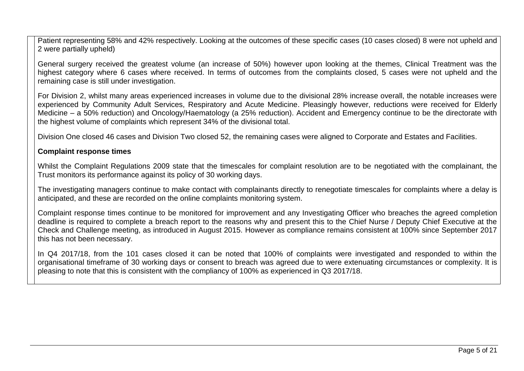Patient representing 58% and 42% respectively. Looking at the outcomes of these specific cases (10 cases closed) 8 were not upheld and 2 were partially upheld)

General surgery received the greatest volume (an increase of 50%) however upon looking at the themes, Clinical Treatment was the highest category where 6 cases where received. In terms of outcomes from the complaints closed, 5 cases were not upheld and the remaining case is still under investigation.

For Division 2, whilst many areas experienced increases in volume due to the divisional 28% increase overall, the notable increases were experienced by Community Adult Services, Respiratory and Acute Medicine. Pleasingly however, reductions were received for Elderly Medicine – a 50% reduction) and Oncology/Haematology (a 25% reduction). Accident and Emergency continue to be the directorate with the highest volume of complaints which represent 34% of the divisional total.

Division One closed 46 cases and Division Two closed 52, the remaining cases were aligned to Corporate and Estates and Facilities.

#### **Complaint response times**

Whilst the Complaint Regulations 2009 state that the timescales for complaint resolution are to be negotiated with the complainant, the Trust monitors its performance against its policy of 30 working days.

The investigating managers continue to make contact with complainants directly to renegotiate timescales for complaints where a delay is anticipated, and these are recorded on the online complaints monitoring system.

Complaint response times continue to be monitored for improvement and any Investigating Officer who breaches the agreed completion deadline is required to complete a breach report to the reasons why and present this to the Chief Nurse / Deputy Chief Executive at the Check and Challenge meeting, as introduced in August 2015. However as compliance remains consistent at 100% since September 2017 this has not been necessary.

In Q4 2017/18, from the 101 cases closed it can be noted that 100% of complaints were investigated and responded to within the organisational timeframe of 30 working days or consent to breach was agreed due to were extenuating circumstances or complexity. It is pleasing to note that this is consistent with the compliancy of 100% as experienced in Q3 2017/18.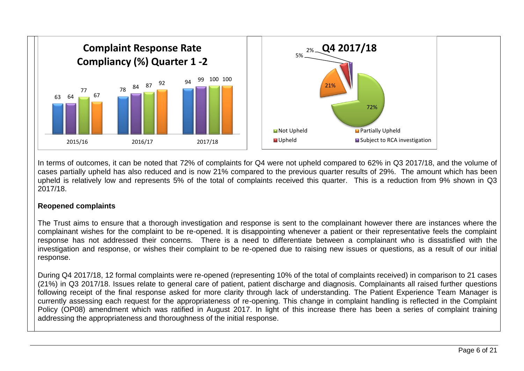

In terms of outcomes, it can be noted that 72% of complaints for Q4 were not upheld compared to 62% in Q3 2017/18, and the volume of cases partially upheld has also reduced and is now 21% compared to the previous quarter results of 29%. The amount which has been upheld is relatively low and represents 5% of the total of complaints received this quarter. This is a reduction from 9% shown in Q3 2017/18.

#### **Reopened complaints**

The Trust aims to ensure that a thorough investigation and response is sent to the complainant however there are instances where the complainant wishes for the complaint to be re-opened. It is disappointing whenever a patient or their representative feels the complaint response has not addressed their concerns. There is a need to differentiate between a complainant who is dissatisfied with the investigation and response, or wishes their complaint to be re-opened due to raising new issues or questions, as a result of our initial response.

During Q4 2017/18, 12 formal complaints were re-opened (representing 10% of the total of complaints received) in comparison to 21 cases (21%) in Q3 2017/18. Issues relate to general care of patient, patient discharge and diagnosis. Complainants all raised further questions following receipt of the final response asked for more clarity through lack of understanding. The Patient Experience Team Manager is currently assessing each request for the appropriateness of re-opening. This change in complaint handling is reflected in the Complaint Policy (OP08) amendment which was ratified in August 2017. In light of this increase there has been a series of complaint training addressing the appropriateness and thoroughness of the initial response.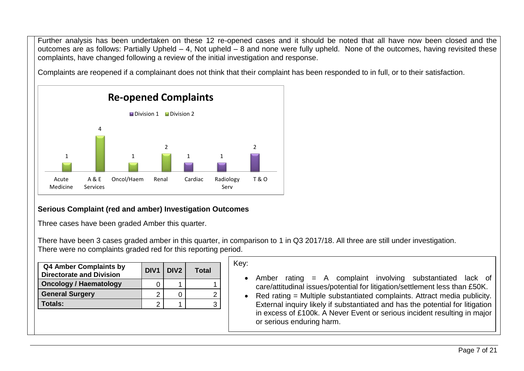Further analysis has been undertaken on these 12 re-opened cases and it should be noted that all have now been closed and the outcomes are as follows: Partially Upheld – 4, Not upheld – 8 and none were fully upheld. None of the outcomes, having revisited these complaints, have changed following a review of the initial investigation and response.

Complaints are reopened if a complainant does not think that their complaint has been responded to in full, or to their satisfaction.



### **Serious Complaint (red and amber) Investigation Outcomes**

Three cases have been graded Amber this quarter.

There have been 3 cases graded amber in this quarter, in comparison to 1 in Q3 2017/18. All three are still under investigation. There were no complaints graded red for this reporting period.

| <b>Q4 Amber Complaints by</b><br><b>Directorate and Division</b> | DIV <sub>1</sub> | DIV <sub>2</sub> | Total |
|------------------------------------------------------------------|------------------|------------------|-------|
| <b>Oncology / Haematology</b>                                    |                  |                  |       |
| <b>General Surgery</b>                                           |                  |                  |       |
| Totals:                                                          |                  |                  |       |

#### Key:

- Amber rating = A complaint involving substantiated lack of care/attitudinal issues/potential for litigation/settlement less than £50K.
- Red rating = Multiple substantiated complaints. Attract media publicity. External inquiry likely if substantiated and has the potential for litigation in excess of £100k. A Never Event or serious incident resulting in major or serious enduring harm.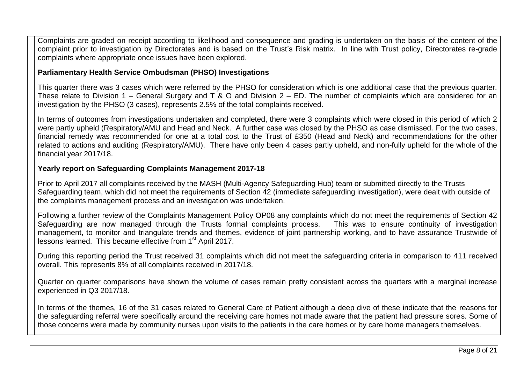Complaints are graded on receipt according to likelihood and consequence and grading is undertaken on the basis of the content of the complaint prior to investigation by Directorates and is based on the Trust's Risk matrix. In line with Trust policy, Directorates re-grade complaints where appropriate once issues have been explored.

#### **Parliamentary Health Service Ombudsman (PHSO) Investigations**

This quarter there was 3 cases which were referred by the PHSO for consideration which is one additional case that the previous quarter. These relate to Division 1 – General Surgery and T & O and Division 2 – ED. The number of complaints which are considered for an investigation by the PHSO (3 cases), represents 2.5% of the total complaints received.

In terms of outcomes from investigations undertaken and completed, there were 3 complaints which were closed in this period of which 2 were partly upheld (Respiratory/AMU and Head and Neck. A further case was closed by the PHSO as case dismissed. For the two cases, financial remedy was recommended for one at a total cost to the Trust of £350 (Head and Neck) and recommendations for the other related to actions and auditing (Respiratory/AMU). There have only been 4 cases partly upheld, and non-fully upheld for the whole of the financial year 2017/18.

#### **Yearly report on Safeguarding Complaints Management 2017-18**

Prior to April 2017 all complaints received by the MASH (Multi-Agency Safeguarding Hub) team or submitted directly to the Trusts Safeguarding team, which did not meet the requirements of Section 42 (immediate safeguarding investigation), were dealt with outside of the complaints management process and an investigation was undertaken.

Following a further review of the Complaints Management Policy OP08 any complaints which do not meet the requirements of Section 42 Safeguarding are now managed through the Trusts formal complaints process. This was to ensure continuity of investigation management, to monitor and triangulate trends and themes, evidence of joint partnership working, and to have assurance Trustwide of lessons learned. This became effective from 1<sup>st</sup> April 2017.

During this reporting period the Trust received 31 complaints which did not meet the safeguarding criteria in comparison to 411 received overall. This represents 8% of all complaints received in 2017/18.

Quarter on quarter comparisons have shown the volume of cases remain pretty consistent across the quarters with a marginal increase experienced in Q3 2017/18.

In terms of the themes, 16 of the 31 cases related to General Care of Patient although a deep dive of these indicate that the reasons for the safeguarding referral were specifically around the receiving care homes not made aware that the patient had pressure sores. Some of those concerns were made by community nurses upon visits to the patients in the care homes or by care home managers themselves.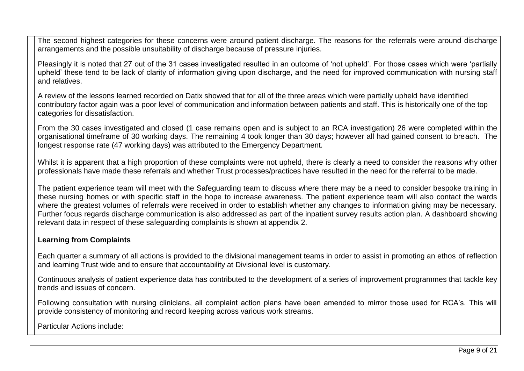The second highest categories for these concerns were around patient discharge. The reasons for the referrals were around discharge arrangements and the possible unsuitability of discharge because of pressure injuries.

Pleasingly it is noted that 27 out of the 31 cases investigated resulted in an outcome of 'not upheld'. For those cases which were 'partially upheld' these tend to be lack of clarity of information giving upon discharge, and the need for improved communication with nursing staff and relatives.

A review of the lessons learned recorded on Datix showed that for all of the three areas which were partially upheld have identified contributory factor again was a poor level of communication and information between patients and staff. This is historically one of the top categories for dissatisfaction.

From the 30 cases investigated and closed (1 case remains open and is subject to an RCA investigation) 26 were completed within the organisational timeframe of 30 working days. The remaining 4 took longer than 30 days; however all had gained consent to breach. The longest response rate (47 working days) was attributed to the Emergency Department.

Whilst it is apparent that a high proportion of these complaints were not upheld, there is clearly a need to consider the reasons why other professionals have made these referrals and whether Trust processes/practices have resulted in the need for the referral to be made.

The patient experience team will meet with the Safeguarding team to discuss where there may be a need to consider bespoke training in these nursing homes or with specific staff in the hope to increase awareness. The patient experience team will also contact the wards where the greatest volumes of referrals were received in order to establish whether any changes to information giving may be necessary. Further focus regards discharge communication is also addressed as part of the inpatient survey results action plan. A dashboard showing relevant data in respect of these safeguarding complaints is shown at appendix 2.

#### **Learning from Complaints**

Each quarter a summary of all actions is provided to the divisional management teams in order to assist in promoting an ethos of reflection and learning Trust wide and to ensure that accountability at Divisional level is customary.

Continuous analysis of patient experience data has contributed to the development of a series of improvement programmes that tackle key trends and issues of concern.

Following consultation with nursing clinicians, all complaint action plans have been amended to mirror those used for RCA's. This will provide consistency of monitoring and record keeping across various work streams.

Particular Actions include: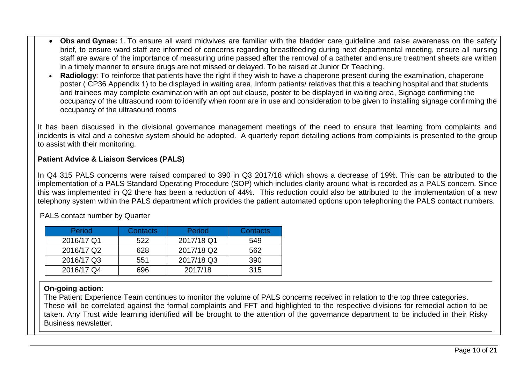- **Obs and Gynae:** 1. To ensure all ward midwives are familiar with the bladder care guideline and raise awareness on the safety brief, to ensure ward staff are informed of concerns regarding breastfeeding during next departmental meeting, ensure all nursing staff are aware of the importance of measuring urine passed after the removal of a catheter and ensure treatment sheets are written in a timely manner to ensure drugs are not missed or delayed. To be raised at Junior Dr Teaching.
- **Radiology**: To reinforce that patients have the right if they wish to have a chaperone present during the examination, chaperone poster ( CP36 Appendix 1) to be displayed in waiting area, Inform patients/ relatives that this a teaching hospital and that students and trainees may complete examination with an opt out clause, poster to be displayed in waiting area, Signage confirming the occupancy of the ultrasound room to identify when room are in use and consideration to be given to installing signage confirming the occupancy of the ultrasound rooms

It has been discussed in the divisional governance management meetings of the need to ensure that learning from complaints and incidents is vital and a cohesive system should be adopted. A quarterly report detailing actions from complaints is presented to the group to assist with their monitoring.

#### **Patient Advice & Liaison Services (PALS)**

In Q4 315 PALS concerns were raised compared to 390 in Q3 2017/18 which shows a decrease of 19%. This can be attributed to the implementation of a PALS Standard Operating Procedure (SOP) which includes clarity around what is recorded as a PALS concern. Since this was implemented in Q2 there has been a reduction of 44%. This reduction could also be attributed to the implementation of a new telephony system within the PALS department which provides the patient automated options upon telephoning the PALS contact numbers.

| <b>Period</b> | <b>Contacts</b> | Period     | Contacts |
|---------------|-----------------|------------|----------|
| 2016/17 Q1    | 522             | 2017/18 Q1 | 549      |
| 2016/17 Q2    | 628             | 2017/18 Q2 | 562      |
| 2016/17 Q3    | 551             | 2017/18 Q3 | 390      |
| 2016/17 Q4    | 696             | 2017/18    | 315      |

PALS contact number by Quarter

#### **On-going action:**

The Patient Experience Team continues to monitor the volume of PALS concerns received in relation to the top three categories. These will be correlated against the formal complaints and FFT and highlighted to the respective divisions for remedial action to be taken. Any Trust wide learning identified will be brought to the attention of the governance department to be included in their Risky Business newsletter.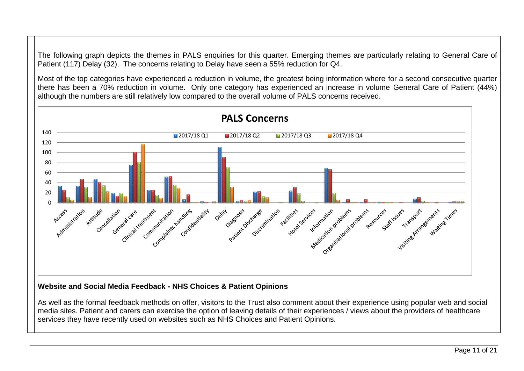The following graph depicts the themes in PALS enquiries for this quarter. Emerging themes are particularly relating to General Care of Patient (117) Delay (32). The concerns relating to Delay have seen a 55% reduction for Q4.

Most of the top categories have experienced a reduction in volume, the greatest being information where for a second consecutive quarter there has been a 70% reduction in volume. Only one category has experienced an increase in volume General Care of Patient (44%) although the numbers are still relatively low compared to the overall volume of PALS concerns received.



#### **Website and Social Media Feedback - NHS Choices & Patient Opinions**

As well as the formal feedback methods on offer, visitors to the Trust also comment about their experience using popular web and social media sites. Patient and carers can exercise the option of leaving details of their experiences / views about the providers of healthcare services they have recently used on websites such as NHS Choices and Patient Opinions.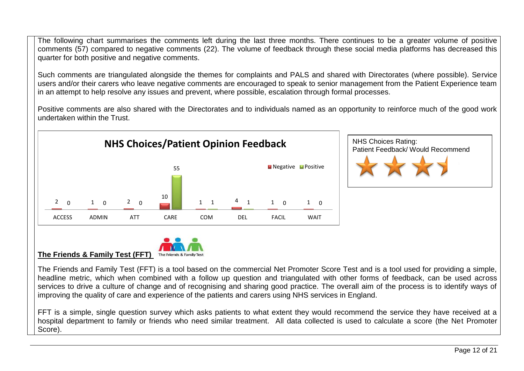The following chart summarises the comments left during the last three months. There continues to be a greater volume of positive comments (57) compared to negative comments (22). The volume of feedback through these social media platforms has decreased this quarter for both positive and negative comments.

Such comments are triangulated alongside the themes for complaints and PALS and shared with Directorates (where possible). Service users and/or their carers who leave negative comments are encouraged to speak to senior management from the Patient Experience team in an attempt to help resolve any issues and prevent, where possible, escalation through formal processes.

Positive comments are also shared with the Directorates and to individuals named as an opportunity to reinforce much of the good work undertaken within the Trust.







The Friends and Family Test (FFT) is a tool based on the commercial Net Promoter Score Test and is a tool used for providing a simple, headline metric, which when combined with a follow up question and triangulated with other forms of feedback, can be used across services to drive a culture of change and of recognising and sharing good practice. The overall aim of the process is to identify ways of improving the quality of care and experience of the patients and carers using NHS services in England.

FFT is a simple, single question survey which asks patients to what extent they would recommend the service they have received at a hospital department to family or friends who need similar treatment. All data collected is used to calculate a score (the Net Promoter Score).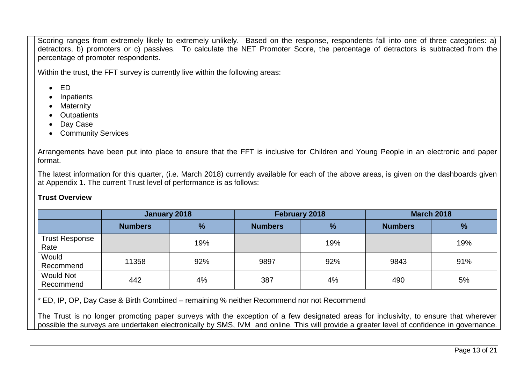Scoring ranges from extremely likely to extremely unlikely. Based on the response, respondents fall into one of three categories: a) detractors, b) promoters or c) passives. To calculate the NET Promoter Score, the percentage of detractors is subtracted from the percentage of promoter respondents.

Within the trust, the FFT survey is currently live within the following areas:

- ED
- Inpatients
- Maternity
- Outpatients
- Day Case
- Community Services

Arrangements have been put into place to ensure that the FFT is inclusive for Children and Young People in an electronic and paper format.

The latest information for this quarter, (i.e. March 2018) currently available for each of the above areas, is given on the dashboards given at Appendix 1. The current Trust level of performance is as follows:

#### **Trust Overview**

|                               | January 2018   |               |                | February 2018 |                | <b>March 2018</b> |
|-------------------------------|----------------|---------------|----------------|---------------|----------------|-------------------|
|                               | <b>Numbers</b> | $\frac{9}{6}$ | <b>Numbers</b> | $\frac{9}{6}$ | <b>Numbers</b> | $\%$              |
| <b>Trust Response</b><br>Rate |                | 19%           |                | 19%           |                | 19%               |
| Would<br>Recommend            | 11358          | 92%           | 9897           | 92%           | 9843           | 91%               |
| <b>Would Not</b><br>Recommend | 442            | 4%            | 387            | 4%            | 490            | 5%                |

\* ED, IP, OP, Day Case & Birth Combined – remaining % neither Recommend nor not Recommend

The Trust is no longer promoting paper surveys with the exception of a few designated areas for inclusivity, to ensure that wherever possible the surveys are undertaken electronically by SMS, IVM and online. This will provide a greater level of confidence in governance.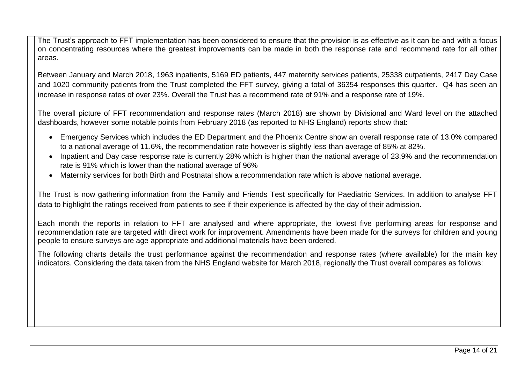The Trust's approach to FFT implementation has been considered to ensure that the provision is as effective as it can be and with a focus on concentrating resources where the greatest improvements can be made in both the response rate and recommend rate for all other areas.

Between January and March 2018, 1963 inpatients, 5169 ED patients, 447 maternity services patients, 25338 outpatients, 2417 Day Case and 1020 community patients from the Trust completed the FFT survey, giving a total of 36354 responses this quarter. Q4 has seen an increase in response rates of over 23%. Overall the Trust has a recommend rate of 91% and a response rate of 19%.

The overall picture of FFT recommendation and response rates (March 2018) are shown by Divisional and Ward level on the attached dashboards, however some notable points from February 2018 (as reported to NHS England) reports show that:

- Emergency Services which includes the ED Department and the Phoenix Centre show an overall response rate of 13.0% compared to a national average of 11.6%, the recommendation rate however is slightly less than average of 85% at 82%.
- Inpatient and Day case response rate is currently 28% which is higher than the national average of 23.9% and the recommendation rate is 91% which is lower than the national average of 96%
- Maternity services for both Birth and Postnatal show a recommendation rate which is above national average.

The Trust is now gathering information from the Family and Friends Test specifically for Paediatric Services. In addition to analyse FFT data to highlight the ratings received from patients to see if their experience is affected by the day of their admission.

Each month the reports in relation to FFT are analysed and where appropriate, the lowest five performing areas for response and recommendation rate are targeted with direct work for improvement. Amendments have been made for the surveys for children and young people to ensure surveys are age appropriate and additional materials have been ordered.

The following charts details the trust performance against the recommendation and response rates (where available) for the main key indicators. Considering the data taken from the NHS England website for March 2018, regionally the Trust overall compares as follows: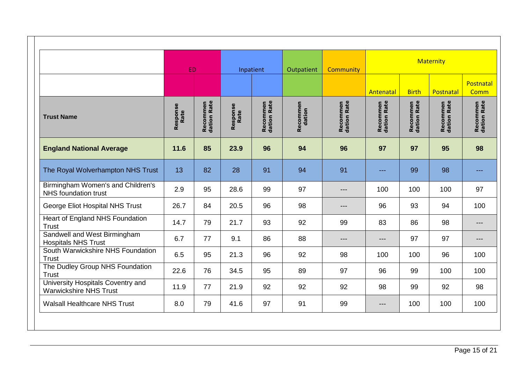|                                                                    | <b>ED</b>        |                                |                  | Inpatient                      | Outpatient         | <b>Community</b>               |                                |                                | <b>Maternity</b>               |                                |
|--------------------------------------------------------------------|------------------|--------------------------------|------------------|--------------------------------|--------------------|--------------------------------|--------------------------------|--------------------------------|--------------------------------|--------------------------------|
|                                                                    |                  |                                |                  |                                |                    |                                | Antenatal                      | <b>Birth</b>                   | Postnatal                      | Postnatal<br>Comm              |
| <b>Trust Name</b>                                                  | Response<br>Rate | <b>Recommen</b><br>dation Rate | Response<br>Rate | <b>Recommen</b><br>dation Rate | Recommen<br>dation | <b>Recommen</b><br>dation Rate | <b>Recommen</b><br>dation Rate | <b>Recommen</b><br>dation Rate | <b>Recommen</b><br>dation Rate | <b>Recommen</b><br>dation Rate |
| <b>England National Average</b>                                    | 11.6             | 85                             | 23.9             | 96                             | 94                 | 96                             | 97                             | 97                             | 95                             | 98                             |
| The Royal Wolverhampton NHS Trust                                  | 13               | 82                             | 28               | 91                             | 94                 | 91                             | ---                            | 99                             | 98                             | ---                            |
| Birmingham Women's and Children's<br><b>NHS</b> foundation trust   | 2.9              | 95                             | 28.6             | 99                             | 97                 | $---$                          | 100                            | 100                            | 100                            | 97                             |
| George Eliot Hospital NHS Trust                                    | 26.7             | 84                             | 20.5             | 96                             | 98                 | $---$                          | 96                             | 93                             | 94                             | 100                            |
| Heart of England NHS Foundation<br><b>Trust</b>                    | 14.7             | 79                             | 21.7             | 93                             | 92                 | 99                             | 83                             | 86                             | 98                             | $---$                          |
| Sandwell and West Birmingham<br><b>Hospitals NHS Trust</b>         | 6.7              | 77                             | 9.1              | 86                             | 88                 | $---$                          | $---$                          | 97                             | 97                             | $---$                          |
| South Warwickshire NHS Foundation<br><b>Trust</b>                  | 6.5              | 95                             | 21.3             | 96                             | 92                 | 98                             | 100                            | 100                            | 96                             | 100                            |
| The Dudley Group NHS Foundation<br><b>Trust</b>                    | 22.6             | 76                             | 34.5             | 95                             | 89                 | 97                             | 96                             | 99                             | 100                            | 100                            |
| University Hospitals Coventry and<br><b>Warwickshire NHS Trust</b> | 11.9             | 77                             | 21.9             | 92                             | 92                 | 92                             | 98                             | 99                             | 92                             | 98                             |
| <b>Walsall Healthcare NHS Trust</b>                                | 8.0              | 79                             | 41.6             | 97                             | 91                 | 99                             | $---$                          | 100                            | 100                            | 100                            |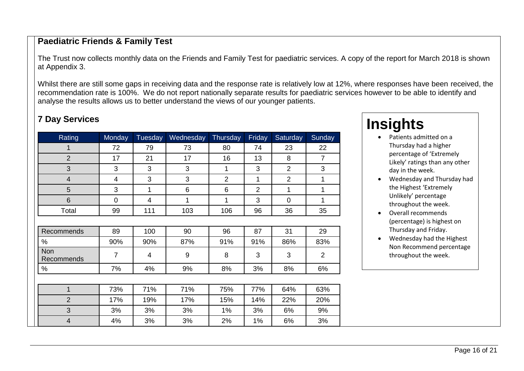### **Paediatric Friends & Family Test**

The Trust now collects monthly data on the Friends and Family Test for paediatric services. A copy of the report for March 2018 is shown at Appendix 3.

Whilst there are still some gaps in receiving data and the response rate is relatively low at 12%, where responses have been received, the recommendation rate is 100%. We do not report nationally separate results for paediatric services however to be able to identify and analyse the results allows us to better understand the views of our younger patients.

## **7 Day Services**

| Rating                   | Monday         | Tuesday | Wednesday | Thursday       | Friday         | Saturday       | Sunday         |
|--------------------------|----------------|---------|-----------|----------------|----------------|----------------|----------------|
| 1                        | 72             | 79      | 73        | 80             | 74             | 23             | 22             |
| $\overline{2}$           | 17             | 21      | 17        | 16             | 13             | 8              | $\overline{7}$ |
| 3                        | 3              | 3       | 3         | 1              | 3              | $\overline{2}$ | 3              |
| $\overline{4}$           | 4              | 3       | 3         | $\overline{2}$ | 1              | $\overline{2}$ | 1              |
| 5                        | 3              | 1       | 6         | 6              | $\overline{2}$ | 1              | 1              |
| $6\phantom{1}$           | 0              | 4       | 1         | 1              | 3              | $\overline{0}$ | 1              |
| Total                    | 99             | 111     | 103       | 106            | 96             | 36             | 35             |
|                          |                |         |           |                |                |                |                |
| Recommends               | 89             | 100     | 90        | 96             | 87             | 31             | 29             |
| $\%$                     | 90%            | 90%     | 87%       | 91%            | 91%            | 86%            | 83%            |
| <b>Non</b><br>Recommends | $\overline{7}$ | 4       | 9         | 8              | 3              | 3              | $\overline{2}$ |
| $\%$                     | 7%             | 4%      | 9%        | 8%             | 3%             | 8%             | 6%             |
|                          |                |         |           |                |                |                |                |
| $\mathbf{1}$             | 73%            | 71%     | 71%       | 75%            | 77%            | 64%            | 63%            |
| $\overline{2}$           | 17%            | 19%     | 17%       | 15%            | 14%            | 22%            | 20%            |
| 3                        | 3%             | 3%      | 3%        | 1%             | 3%             | 6%             | 9%             |
| $\overline{4}$           | 4%             | 3%      | 3%        | 2%             | 1%             | 6%             | 3%             |

# **Insights**

- Patients admitted on a Thursday had a higher percentage of 'Extremely Likely' ratings than any other day in the week.
- Wednesday and Thursday had the Highest 'Extremely Unlikely' percentage throughout the week.
- Overall recommends (percentage) is highest on Thursday and Friday.
- Wednesday had the Highest Non Recommend percentage throughout the week.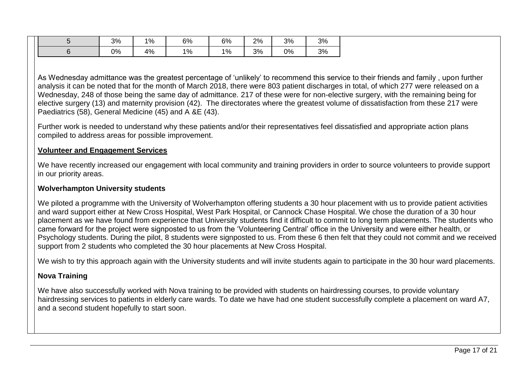|  | 3% | 1% | 6% | 6% | 2% | 3% | 3% |
|--|----|----|----|----|----|----|----|
|  | 0% | 4% | 1% | 1% | 3% | 0% | 3% |

As Wednesday admittance was the greatest percentage of 'unlikely' to recommend this service to their friends and family , upon further analysis it can be noted that for the month of March 2018, there were 803 patient discharges in total, of which 277 were released on a Wednesday, 248 of those being the same day of admittance. 217 of these were for non-elective surgery, with the remaining being for elective surgery (13) and maternity provision (42). The directorates where the greatest volume of dissatisfaction from these 217 were Paediatrics (58), General Medicine (45) and A &E (43).

Further work is needed to understand why these patients and/or their representatives feel dissatisfied and appropriate action plans compiled to address areas for possible improvement.

#### **Volunteer and Engagement Services**

We have recently increased our engagement with local community and training providers in order to source volunteers to provide support in our priority areas.

#### **Wolverhampton University students**

We piloted a programme with the University of Wolverhampton offering students a 30 hour placement with us to provide patient activities and ward support either at New Cross Hospital, West Park Hospital, or Cannock Chase Hospital. We chose the duration of a 30 hour placement as we have found from experience that University students find it difficult to commit to long term placements. The students who came forward for the project were signposted to us from the 'Volunteering Central' office in the University and were either health, or Psychology students. During the pilot, 8 students were signposted to us. From these 6 then felt that they could not commit and we received support from 2 students who completed the 30 hour placements at New Cross Hospital.

We wish to try this approach again with the University students and will invite students again to participate in the 30 hour ward placements.

#### **Nova Training**

We have also successfully worked with Nova training to be provided with students on hairdressing courses, to provide voluntary hairdressing services to patients in elderly care wards. To date we have had one student successfully complete a placement on ward A7, and a second student hopefully to start soon.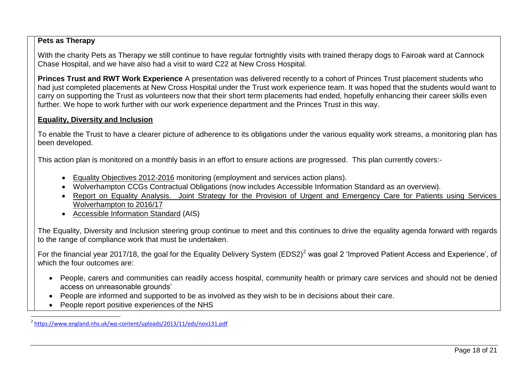#### **Pets as Therapy**

With the charity Pets as Therapy we still continue to have regular fortnightly visits with trained therapy dogs to Fairoak ward at Cannock Chase Hospital, and we have also had a visit to ward C22 at New Cross Hospital.

**Princes Trust and RWT Work Experience** A presentation was delivered recently to a cohort of Princes Trust placement students who had just completed placements at New Cross Hospital under the Trust work experience team. It was hoped that the students would want to carry on supporting the Trust as volunteers now that their short term placements had ended, hopefully enhancing their career skills even further. We hope to work further with our work experience department and the Princes Trust in this way.

#### **Equality, Diversity and Inclusion**

To enable the Trust to have a clearer picture of adherence to its obligations under the various equality work streams, a monitoring plan has been developed.

This action plan is monitored on a monthly basis in an effort to ensure actions are progressed. This plan currently covers:-

- [Equality Objectives 2012-2016](http://www.royalwolverhampton.nhs.uk/patients-and-visitors/patient-experience-team/equality-diversity-and-inclusion/equality-objectives/) monitoring (employment and services action plans).
- Wolverhampton CCGs Contractual Obligations (now includes Accessible Information Standard as an overview).
- Report on Equality Analysis. Joint Strategy for the Provision of Urgent and Emergency Care for Patients using Services [Wolverhampton to 2016/17](http://www.wolverhamptonccg.nhs.uk/images/docs/vF__Equality_Analysis_for_Wolves_Urgent_Care_August_2014.pdf)
- [Accessible Information Standard](https://www.england.nhs.uk/wp-content/uploads/2015/07/access-info-spec-fin.pdf) (AIS)

The Equality, Diversity and Inclusion steering group continue to meet and this continues to drive the equality agenda forward with regards to the range of compliance work that must be undertaken.

For the financial year 2017/18, the goal for the Equality Delivery System (EDS2)<sup>2</sup> was goal 2 'Improved Patient Access and Experience', of which the four outcomes are:

- People, carers and communities can readily access hospital, community health or primary care services and should not be denied access on unreasonable grounds'
- People are informed and supported to be as involved as they wish to be in decisions about their care.
- People report positive experiences of the NHS

<sup>&</sup>lt;sup>2</sup> <https://www.england.nhs.uk/wp-content/uploads/2013/11/eds/nov131.pdf>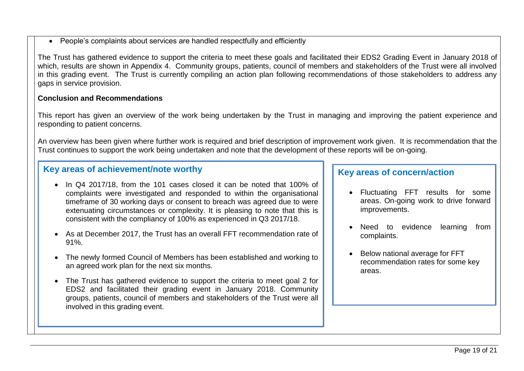People's complaints about services are handled respectfully and efficiently

The Trust has gathered evidence to support the criteria to meet these goals and facilitated their EDS2 Grading Event in January 2018 of which, results are shown in Appendix 4. Community groups, patients, council of members and stakeholders of the Trust were all involved in this grading event. The Trust is currently compiling an action plan following recommendations of those stakeholders to address any gaps in service provision.

#### **Conclusion and Recommendations**

This report has given an overview of the work being undertaken by the Trust in managing and improving the patient experience and responding to patient concerns.

An overview has been given where further work is required and brief description of improvement work given. It is recommendation that the Trust continues to support the work being undertaken and note that the development of these reports will be on-going.

## **Key areas of achievement/note worthy**

- In Q4 2017/18, from the 101 cases closed it can be noted that 100% of complaints were investigated and responded to within the organisational timeframe of 30 working days or consent to breach was agreed due to were extenuating circumstances or complexity. It is pleasing to note that this is consistent with the compliancy of 100% as experienced in Q3 2017/18.
- As at December 2017, the Trust has an overall FFT recommendation rate of 91%.
- The newly formed Council of Members has been established and working to an agreed work plan for the next six months.
- The Trust has gathered evidence to support the criteria to meet goal 2 for EDS2 and facilitated their grading event in January 2018. Community groups, patients, council of members and stakeholders of the Trust were all involved in this grading event.

## **Key areas of concern/action**

- Fluctuating FFT results for some areas. On-going work to drive forward improvements.
- Need to evidence learning from complaints.
- Below national average for FFT recommendation rates for some key areas.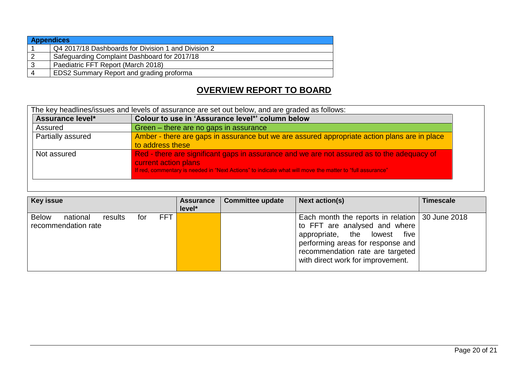| <b>Appendices</b> |                                                     |
|-------------------|-----------------------------------------------------|
|                   | Q4 2017/18 Dashboards for Division 1 and Division 2 |
|                   | Safeguarding Complaint Dashboard for 2017/18        |
| 3                 | Paediatric FFT Report (March 2018)                  |
| 4                 | <b>EDS2 Summary Report and grading proforma</b>     |

## **OVERVIEW REPORT TO BOARD**

|                   | The key headlines/issues and levels of assurance are set out below, and are graded as follows:                                                                                                                                 |
|-------------------|--------------------------------------------------------------------------------------------------------------------------------------------------------------------------------------------------------------------------------|
| Assurance level*  | Colour to use in 'Assurance level*' column below                                                                                                                                                                               |
| Assured           | Green – there are no gaps in assurance                                                                                                                                                                                         |
| Partially assured | Amber - there are gaps in assurance but we are assured appropriate action plans are in place<br>to address these                                                                                                               |
| Not assured       | Red - there are significant gaps in assurance and we are not assured as to the adequacy of<br>current action plans<br>If red, commentary is needed in "Next Actions" to indicate what will move the matter to "full assurance" |

| <b>Key issue</b>                                |         |     |            | <b>Assurance</b><br>level* | <b>Committee update</b> | <b>Next action(s)</b>                                                                                                                                                                                                                     | <b>Timescale</b> |
|-------------------------------------------------|---------|-----|------------|----------------------------|-------------------------|-------------------------------------------------------------------------------------------------------------------------------------------------------------------------------------------------------------------------------------------|------------------|
| <b>Below</b><br>national<br>recommendation rate | results | for | <b>FFT</b> |                            |                         | Each month the reports in relation $\vert$ 30 June 2018<br>to FFT are analysed and where<br>appropriate, the lowest<br>five<br>performing areas for response and<br>recommendation rate are targeted<br>with direct work for improvement. |                  |